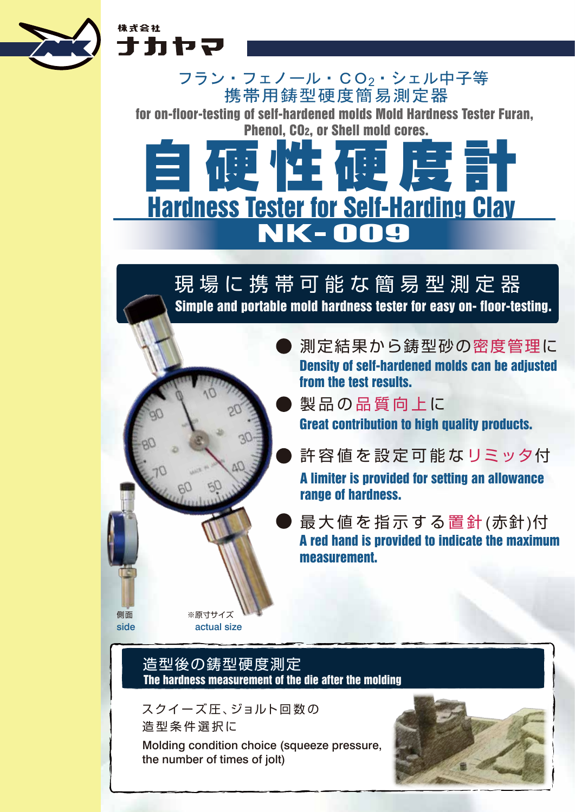

株式会社 ナカヤマ

> for on-floor-testing of self-hardened molds Mold Hardness Tester Furan, Phenol, CO2, or Shell mold cores. 携帯用鋳型硬度簡易測定器 フラン・フェノール・CO2・シェル中子等



# 現 場 に 携 帯 可 能 な 簡 易 型 測 定 器

Simple and portable mold hardness tester for easy on- floor-testing.

測定結果から鋳型砂の密度管理に Density of self-hardened molds can be adjusted from the test results.

製品の品質向上に Great contribution to high quality products.

- A limiter is provided for setting an allowance range of hardness. 許容値を設定可能なリミッタ付
- A red hand is provided to indicate the maximum measurement. 最大値を指示する置針(赤針)付

# 造型後の鋳型硬度測定 The hardness measurement of the die after the molding

※原寸サイズ actual size

側面 side

> Molding condition choice (squeeze pressure, the number of times of jolt) スクイーズ圧、ジョルト回数の 造 型 条 件 選 択 に